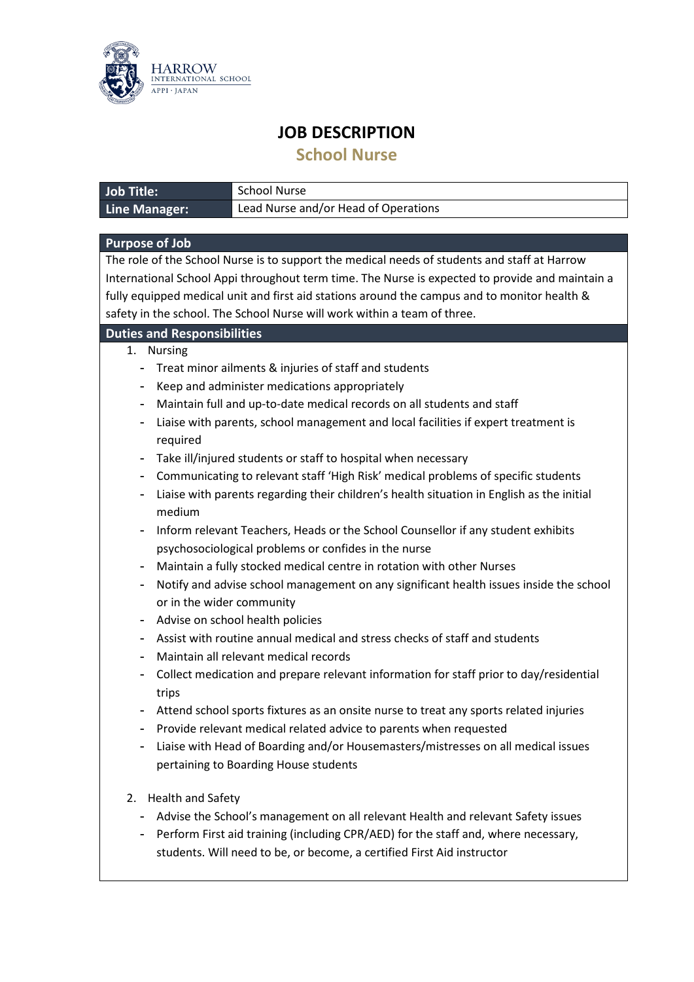

## **JOB DESCRIPTION**

**School Nurse**

| <b>Job Title:</b>                                                                                                                          | <b>School Nurse</b>                                                                                                                                                                                                                                                                                                                                                                                                                                                                                                                                                                                                                                                                                                                                                                                                                                                                                                                                                                                                                                                                                                                                                                                                                                                                                                                                                                       |
|--------------------------------------------------------------------------------------------------------------------------------------------|-------------------------------------------------------------------------------------------------------------------------------------------------------------------------------------------------------------------------------------------------------------------------------------------------------------------------------------------------------------------------------------------------------------------------------------------------------------------------------------------------------------------------------------------------------------------------------------------------------------------------------------------------------------------------------------------------------------------------------------------------------------------------------------------------------------------------------------------------------------------------------------------------------------------------------------------------------------------------------------------------------------------------------------------------------------------------------------------------------------------------------------------------------------------------------------------------------------------------------------------------------------------------------------------------------------------------------------------------------------------------------------------|
| <b>Line Manager:</b>                                                                                                                       | Lead Nurse and/or Head of Operations                                                                                                                                                                                                                                                                                                                                                                                                                                                                                                                                                                                                                                                                                                                                                                                                                                                                                                                                                                                                                                                                                                                                                                                                                                                                                                                                                      |
|                                                                                                                                            |                                                                                                                                                                                                                                                                                                                                                                                                                                                                                                                                                                                                                                                                                                                                                                                                                                                                                                                                                                                                                                                                                                                                                                                                                                                                                                                                                                                           |
| <b>Purpose of Job</b>                                                                                                                      |                                                                                                                                                                                                                                                                                                                                                                                                                                                                                                                                                                                                                                                                                                                                                                                                                                                                                                                                                                                                                                                                                                                                                                                                                                                                                                                                                                                           |
|                                                                                                                                            | The role of the School Nurse is to support the medical needs of students and staff at Harrow<br>International School Appi throughout term time. The Nurse is expected to provide and maintain a<br>fully equipped medical unit and first aid stations around the campus and to monitor health &<br>safety in the school. The School Nurse will work within a team of three.                                                                                                                                                                                                                                                                                                                                                                                                                                                                                                                                                                                                                                                                                                                                                                                                                                                                                                                                                                                                               |
| <b>Duties and Responsibilities</b>                                                                                                         |                                                                                                                                                                                                                                                                                                                                                                                                                                                                                                                                                                                                                                                                                                                                                                                                                                                                                                                                                                                                                                                                                                                                                                                                                                                                                                                                                                                           |
| 1. Nursing<br>-<br>۰<br>۰<br>required<br>-<br>۰<br>medium<br>$\overline{\phantom{0}}$<br>۰<br>or in the wider community<br>-<br>trips<br>۰ | Treat minor ailments & injuries of staff and students<br>Keep and administer medications appropriately<br>Maintain full and up-to-date medical records on all students and staff<br>Liaise with parents, school management and local facilities if expert treatment is<br>Take ill/injured students or staff to hospital when necessary<br>Communicating to relevant staff 'High Risk' medical problems of specific students<br>Liaise with parents regarding their children's health situation in English as the initial<br>Inform relevant Teachers, Heads or the School Counsellor if any student exhibits<br>psychosociological problems or confides in the nurse<br>Maintain a fully stocked medical centre in rotation with other Nurses<br>Notify and advise school management on any significant health issues inside the school<br>Advise on school health policies<br>Assist with routine annual medical and stress checks of staff and students<br>Maintain all relevant medical records<br>Collect medication and prepare relevant information for staff prior to day/residential<br>Attend school sports fixtures as an onsite nurse to treat any sports related injuries<br>Provide relevant medical related advice to parents when requested<br>Liaise with Head of Boarding and/or Housemasters/mistresses on all medical issues<br>pertaining to Boarding House students |
| <b>Health and Safety</b><br>2.                                                                                                             | Advise the School's management on all relevant Health and relevant Safety issues<br>Perform First aid training (including CPR/AED) for the staff and, where necessary,<br>students. Will need to be, or become, a certified First Aid instructor                                                                                                                                                                                                                                                                                                                                                                                                                                                                                                                                                                                                                                                                                                                                                                                                                                                                                                                                                                                                                                                                                                                                          |